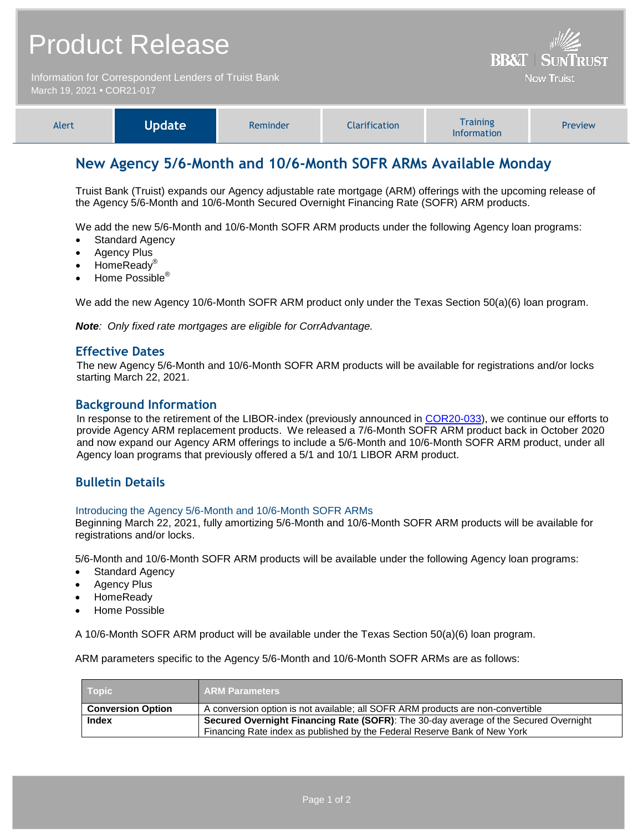| March 19, 2021 . COR21-017 | <b>Product Release</b><br>Information for Correspondent Lenders of Truist Bank | <b>BB&amp;T   SUNTRUST</b><br><b>Now Truist</b> |                      |                                                                                                                                                                                                                                                      |         |
|----------------------------|--------------------------------------------------------------------------------|-------------------------------------------------|----------------------|------------------------------------------------------------------------------------------------------------------------------------------------------------------------------------------------------------------------------------------------------|---------|
| Alert                      | <b>Update</b>                                                                  | Reminder                                        | <b>Clarification</b> | <b>Training</b><br>$\mathbf{r}$ . The contract of the contract of the contract of the contract of the contract of the contract of the contract of the contract of the contract of the contract of the contract of the contract of the contract of th | Preview |

# **New Agency 5/6-Month and 10/6-Month SOFR ARMs Available Monday**

Truist Bank (Truist) expands our Agency adjustable rate mortgage (ARM) offerings with the upcoming release of the Agency 5/6-Month and 10/6-Month Secured Overnight Financing Rate (SOFR) ARM products.

Information

We add the new 5/6-Month and 10/6-Month SOFR ARM products under the following Agency loan programs:

- Standard Agency
- Agency Plus
- HomeReady®
- Home Possible®

We add the new Agency 10/6-Month SOFR ARM product only under the Texas Section 50(a)(6) loan program.

*Note: Only fixed rate mortgages are eligible for CorrAdvantage.* 

### **Effective Dates**

The new Agency 5/6-Month and 10/6-Month SOFR ARM products will be available for registrations and/or locks starting March 22, 2021.

### **Background Information**

In response to the retirement of the LIBOR-index (previously announced in [COR20-033\)](https://www.truistsellerguide.com/Manual/cor/bulletins/archive/Cr20-033.pdf), we continue our efforts to provide Agency ARM replacement products. We released a 7/6-Month SOFR ARM product back in October 2020 and now expand our Agency ARM offerings to include a 5/6-Month and 10/6-Month SOFR ARM product, under all Agency loan programs that previously offered a 5/1 and 10/1 LIBOR ARM product.

## **Bulletin Details**

### Introducing the Agency 5/6-Month and 10/6-Month SOFR ARMs

Beginning March 22, 2021, fully amortizing 5/6-Month and 10/6-Month SOFR ARM products will be available for registrations and/or locks.

5/6-Month and 10/6-Month SOFR ARM products will be available under the following Agency loan programs:

- Standard Agency
- Agency Plus
- HomeReady
- Home Possible

A 10/6-Month SOFR ARM product will be available under the Texas Section 50(a)(6) loan program.

ARM parameters specific to the Agency 5/6-Month and 10/6-Month SOFR ARMs are as follows:

| l Topic                  | <b>ARM Parameters</b>                                                                |
|--------------------------|--------------------------------------------------------------------------------------|
| <b>Conversion Option</b> | A conversion option is not available; all SOFR ARM products are non-convertible      |
| <b>Index</b>             | Secured Overnight Financing Rate (SOFR): The 30-day average of the Secured Overnight |
|                          | Financing Rate index as published by the Federal Reserve Bank of New York            |